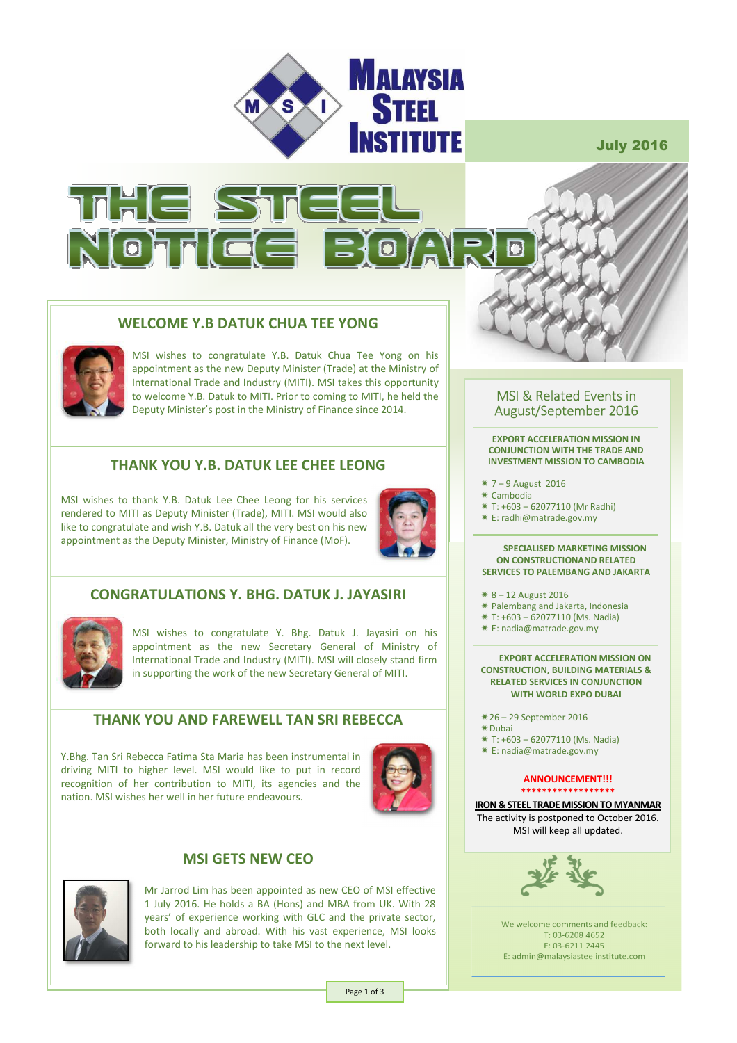

July 2016



# **WELCOME Y.B DATUK CHUA TEE YONG**



MSI wishes to congratulate Y.B. Datuk Chua Tee Yong on his appointment as the new Deputy Minister (Trade) at the Ministry of International Trade and Industry (MITI). MSI takes this opportunity to welcome Y.B. Datuk to MITI. Prior to coming to MITI, he held the Deputy Minister's post in the Ministry of Finance since 2014.

## **THANK YOU Y.B. DATUK LEE CHEE LEONG**

MSI wishes to thank Y.B. Datuk Lee Chee Leong for his services rendered to MITI as Deputy Minister (Trade), MITI. MSI would also like to congratulate and wish Y.B. Datuk all the very best on his new appointment as the Deputy Minister, Ministry of Finance (MoF).



# **CONGRATULATIONS Y. BHG. DATUK J. JAYASIRI**



MSI wishes to congratulate Y. Bhg. Datuk J. Jayasiri on his appointment as the new Secretary General of Ministry of International Trade and Industry (MITI). MSI will closely stand firm in supporting the work of the new Secretary General of MITI.

### **THANK YOU AND FAREWELL TAN SRI REBECCA**

Y.Bhg. Tan Sri Rebecca Fatima Sta Maria has been instrumental in driving MITI to higher level. MSI would like to put in record recognition of her contribution to MITI, its agencies and the nation. MSI wishes her well in her future endeavours.



### **MSI GETS NEW CEO**



Mr Jarrod Lim has been appointed as new CEO of MSI effective 1 July 2016. He holds a BA (Hons) and MBA from UK. With 28 years' of experience working with GLC and the private sector, both locally and abroad. With his vast experience, MSI looks forward to his leadership to take MSI to the next level.

### MSI & Related Events in August/September 2016

**EXPORT ACCELERATION MISSION IN CONJUNCTION WITH THE TRADE AND INVESTMENT MISSION TO CAMBODIA** 

- 7 9 August 2016
- $*$  Cambodia
- T: +603 62077110 (Mr Radhi)
- E: radhi@matrade.gov.my

#### **SPECIALISED MARKETING MISSION ON CONSTRUCTIONAND RELATED SERVICES TO PALEMBANG AND JAKARTA**

- $* 8 12$  August 2016
- Palembang and Jakarta, Indonesia
- T: +603 62077110 (Ms. Nadia)
- E: nadia@matrade.gov.my

#### **EXPORT ACCELERATION MISSION ON CONSTRUCTION, BUILDING MATERIALS & RELATED SERVICES IN CONJUNCTION WITH WORLD EXPO DUBAI**

- 26 29 September 2016
- Dubai
- T: +603 62077110 (Ms. Nadia)
- E: nadia@matrade.gov.my

#### **ANNOUNCEMENT!!! \*\*\*\*\*\*\*\*\*\*\*\*\*\*\*\*\*\***

**IRON & STEEL TRADE MISSION TO MYANMAR**  The activity is postponed to October 2016. MSI will keep all updated.



We welcome comments and feedback: T: 03-6208 4652 F: 03-6211 2445 E: admin@malaysiasteelinstitute.com

Page 1 of 3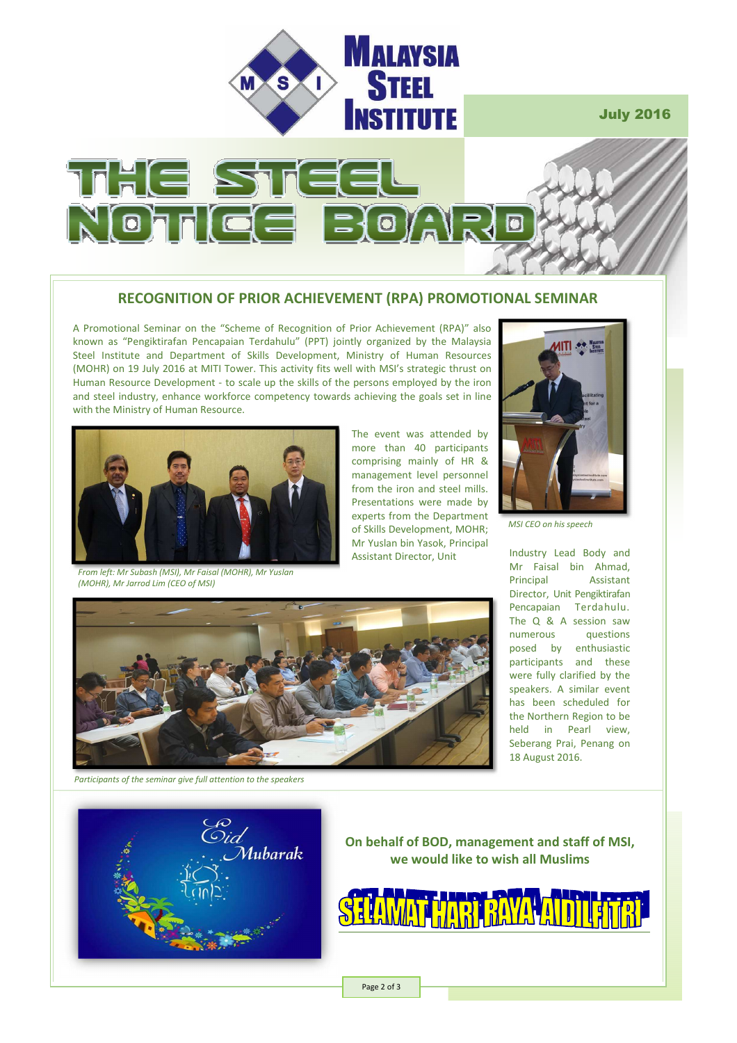

July 2016



# **RECOGNITION OF PRIOR ACHIEVEMENT (RPA) PROMOTIONAL SEMINAR**

A Promotional Seminar on the "Scheme of Recognition of Prior Achievement (RPA)" also known as "Pengiktirafan Pencapaian Terdahulu" (PPT) jointly organized by the Malaysia Steel Institute and Department of Skills Development, Ministry of Human Resources (MOHR) on 19 July 2016 at MITI Tower. This activity fits well with MSI's strategic thrust on Human Resource Development - to scale up the skills of the persons employed by the iron and steel industry, enhance workforce competency towards achieving the goals set in line with the Ministry of Human Resource.



*From left: Mr Subash (MSI), Mr Faisal (MOHR), Mr Yuslan (MOHR), Mr Jarrod Lim (CEO of MSI)* 

The event was attended by more than 40 participants comprising mainly of HR & management level personnel from the iron and steel mills. Presentations were made by experts from the Department of Skills Development, MOHR; Mr Yuslan bin Yasok, Principal Assistant Director, Unit



*MSI CEO on his speech* 

Industry Lead Body and Mr Faisal bin Ahmad, Principal Assistant Director, Unit Pengiktirafan Pencapaian Terdahulu. The Q & A session saw<br>numerous questions questions posed by enthusiastic participants and these were fully clarified by the speakers. A similar event has been scheduled for the Northern Region to be held in Pearl view, Seberang Prai, Penang on 18 August 2016.



Co<br>Oid<br>^`.`Mubarak

*Participants of the seminar give full attention to the speakers*

**On behalf of BOD, management and staff of MSI, we would like to wish all Muslims** 



Page 2 of 3